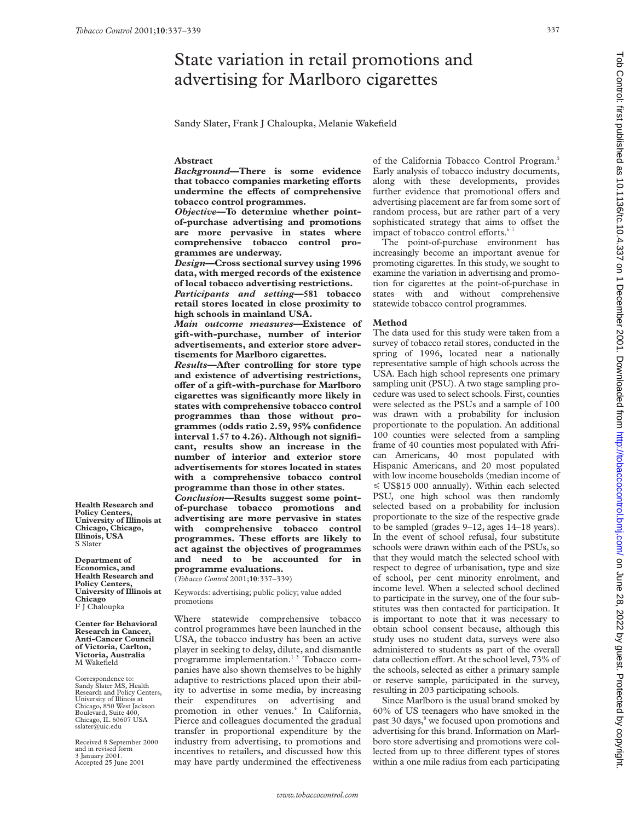# State variation in retail promotions and advertising for Marlboro cigarettes

Sandy Slater, Frank J Chaloupka, Melanie Wakefield

## **Abstract**

*Background***—There is some evidence** that tobacco companies marketing efforts undermine the effects of comprehensive **tobacco control programmes.**

*Objective***—To determine whether pointof-purchase advertising and promotions are more pervasive in states where comprehensive tobacco control programmes are underway.**

*Design***—Cross sectional survey using 1996 data, with merged records of the existence of local tobacco advertising restrictions.**

*Participants and setting***—581 tobacco retail stores located in close proximity to high schools in mainland USA.**

*Main outcome measures***—Existence of gift-with-purchase, number of interior advertisements, and exterior store advertisements for Marlboro cigarettes.**

*Results***—After controlling for store type and existence of advertising restrictions, oVer of a gift-with-purchase for Marlboro cigarettes was significantly more likely in states with comprehensive tobacco control programmes than those without programmes (odds ratio 2.59, 95% confidence interval 1.57 to 4.26). Although not significant, results show an increase in the number of interior and exterior store advertisements for stores located in states with a comprehensive tobacco control programme than those in other states.**

*Conclusion***—Results suggest some pointof-purchase tobacco promotions and advertising are more pervasive in states with comprehensive tobacco control** programmes. These efforts are likely to **act against the objectives of programmes and need to be accounted for in programme evaluations.**

(*Tobacco Control* 2001;**10**:337–339)

Keywords: advertising; public policy; value added promotions

Where statewide comprehensive tobacco control programmes have been launched in the USA, the tobacco industry has been an active player in seeking to delay, dilute, and dismantle programme implementation.<sup>1-3</sup> Tobacco companies have also shown themselves to be highly adaptive to restrictions placed upon their ability to advertise in some media, by increasing their expenditures on advertising and promotion in other venues.<sup>4</sup> In California, Pierce and colleagues documented the gradual transfer in proportional expenditure by the industry from advertising, to promotions and incentives to retailers, and discussed how this may have partly undermined the effectiveness

of the California Tobacco Control Program.<sup>5</sup> Early analysis of tobacco industry documents, along with these developments, provides further evidence that promotional offers and advertising placement are far from some sort of random process, but are rather part of a very sophisticated strategy that aims to offset the impact of tobacco control efforts.<sup>67</sup>

The point-of-purchase environment has increasingly become an important avenue for promoting cigarettes. In this study, we sought to examine the variation in advertising and promotion for cigarettes at the point-of-purchase in states with and without comprehensive statewide tobacco control programmes.

### **Method**

The data used for this study were taken from a survey of tobacco retail stores, conducted in the spring of 1996, located near a nationally representative sample of high schools across the USA. Each high school represents one primary sampling unit (PSU). A two stage sampling procedure was used to select schools. First, counties were selected as the PSUs and a sample of 100 was drawn with a probability for inclusion proportionate to the population. An additional 100 counties were selected from a sampling frame of 40 counties most populated with African Americans, 40 most populated with Hispanic Americans, and 20 most populated with low income households (median income of  $\leq$  US\$15 000 annually). Within each selected PSU, one high school was then randomly selected based on a probability for inclusion proportionate to the size of the respective grade to be sampled (grades 9–12, ages 14–18 years). In the event of school refusal, four substitute schools were drawn within each of the PSUs, so that they would match the selected school with respect to degree of urbanisation, type and size of school, per cent minority enrolment, and income level. When a selected school declined to participate in the survey, one of the four substitutes was then contacted for participation. It is important to note that it was necessary to obtain school consent because, although this study uses no student data, surveys were also administered to students as part of the overall data collection effort. At the school level, 73% of the schools, selected as either a primary sample or reserve sample, participated in the survey, resulting in 203 participating schools.

Since Marlboro is the usual brand smoked by 60% of US teenagers who have smoked in the past 30 days,<sup>8</sup> we focused upon promotions and advertising for this brand. Information on Marlboro store advertising and promotions were collected from up to three different types of stores within a one mile radius from each participating

**Health Research and Policy Centers, University of Illinois at Chicago, Chicago, Illinois, USA** S Slater

**Department of Economics, and Health Research and Policy Centers, University of Illinois at Chicago** F J Chaloupka

**Center for Behavioral Research in Cancer, Anti-Cancer Council of Victoria, Carlton, Victoria, Australia** M Wakefield

Correspondence to: Sandy Slater MS, Health Research and Policy Centers, University of Illinois at Chicago, 850 West Jackson Boulevard, Suite 400, Chicago, IL 60607 USA sslater@uic.edu

Received 8 September 2000 and in revised form 3 January 2001. Accepted 25 June 2001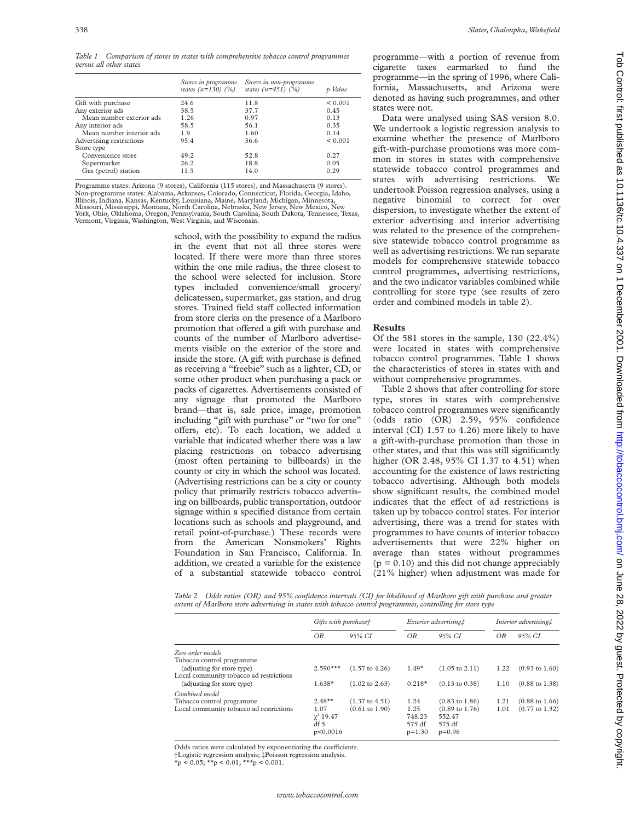338 *Slater, Chaloupka, Wakefield*

*Table 1 Comparison of stores in states with comprehensive tobacco control programmes versus all other states*

|                          | Stores in programme<br>states $(n=130)$ $(%)$ | Stores in non-programme<br>states $(n=45\overline{1})$ $(%)$ | p Value |  |
|--------------------------|-----------------------------------------------|--------------------------------------------------------------|---------|--|
| Gift with purchase       | 24.6                                          | 11.8                                                         | < 0.001 |  |
| Any exterior ads         | 38.5                                          | 37.7                                                         | 0.45    |  |
| Mean number exterior ads | 1.26                                          | 0.97                                                         | 0.13    |  |
| Any interior ads         | 58.5                                          | 56.1                                                         | 0.35    |  |
| Mean number interior ads | 1.9                                           | 1.60                                                         | 0.14    |  |
| Advertising restrictions | 95.4                                          | 36.6                                                         | < 0.001 |  |
| Store type               |                                               |                                                              |         |  |
| Convenience store        | 49.2                                          | 52.8                                                         | 0.27    |  |
| Supermarket              | 26.2                                          | 18.8                                                         | 0.05    |  |
| Gas (petrol) station     | 11.5                                          | 14.0                                                         | 0.29    |  |

Programme states: Arizona (9 stores), California (115 stores), and Massachusetts (9 stores). Non-programme states: Alabama, Arkansas, Colorado, Connecticut, Florida, Georgia, Idaho, Illinois, Indiana, Kansas, Kentucky, Louisiana, Maine, Maryland, Michigan, Minnesota, Missouri, Mississippi, Montana, North Carolina, Nebraska, New Jersey, New Mexico, New York, Ohio, Oklahoma, Oregon, Pennsylvania, South Carolina, South Dakota, Tennessee, Texas, Vermont, Virginia, Washington, West Virginia, and Wisconsin.

> school, with the possibility to expand the radius in the event that not all three stores were located. If there were more than three stores within the one mile radius, the three closest to the school were selected for inclusion. Store types included convenience/small grocery/ delicatessen, supermarket, gas station, and drug stores. Trained field staff collected information from store clerks on the presence of a Marlboro promotion that offered a gift with purchase and counts of the number of Marlboro advertisements visible on the exterior of the store and inside the store. (A gift with purchase is defined as receiving a "freebie" such as a lighter, CD, or some other product when purchasing a pack or packs of cigarettes. Advertisements consisted of any signage that promoted the Marlboro brand—that is, sale price, image, promotion including "gift with purchase" or "two for one" offers, etc). To each location, we added a variable that indicated whether there was a law placing restrictions on tobacco advertising (most often pertaining to billboards) in the county or city in which the school was located. (Advertising restrictions can be a city or county policy that primarily restricts tobacco advertising on billboards, public transportation, outdoor signage within a specified distance from certain locations such as schools and playground, and retail point-of-purchase.) These records were from the American Nonsmokers' Rights Foundation in San Francisco, California. In addition, we created a variable for the existence of a substantial statewide tobacco control

programme—with a portion of revenue from cigarette taxes earmarked to fund the programme—in the spring of 1996, where California, Massachusetts, and Arizona were denoted as having such programmes, and other states were not.

Data were analysed using SAS version 8.0. We undertook a logistic regression analysis to examine whether the presence of Marlboro gift-with-purchase promotions was more common in stores in states with comprehensive statewide tobacco control programmes and states with advertising restrictions. We undertook Poisson regression analyses, using a negative binomial to correct for over dispersion, to investigate whether the extent of exterior advertising and interior advertising was related to the presence of the comprehensive statewide tobacco control programme as well as advertising restrictions. We ran separate models for comprehensive statewide tobacco control programmes, advertising restrictions, and the two indicator variables combined while controlling for store type (see results of zero order and combined models in table 2).

#### **Results**

Of the 581 stores in the sample, 130 (22.4%) were located in states with comprehensive tobacco control programmes. Table 1 shows the characteristics of stores in states with and without comprehensive programmes.

Table 2 shows that after controlling for store type, stores in states with comprehensive tobacco control programmes were significantly (odds ratio (OR) 2.59, 95% confidence interval (CI) 1.57 to 4.26) more likely to have a gift-with-purchase promotion than those in other states, and that this was still significantly higher (OR 2.48, 95% CI 1.37 to 4.51) when accounting for the existence of laws restricting tobacco advertising. Although both models show significant results, the combined model indicates that the effect of ad restrictions is taken up by tobacco control states. For interior advertising, there was a trend for states with programmes to have counts of interior tobacco advertisements that were 22% higher on average than states without programmes  $(p = 0.10)$  and this did not change appreciably (21% higher) when adjustment was made for

*Table 2 Odds ratios (OR) and 95% confidence intervals (CI) for likelihood of Marlboro gift with purchase and greater extent of Marlboro store advertising in states with tobacco control programmes, controlling for store type*

|                                         | Gifts with purchase† |                           | Exterior advertising# |                           | Interior advertising# |                           |
|-----------------------------------------|----------------------|---------------------------|-----------------------|---------------------------|-----------------------|---------------------------|
|                                         | <b>OR</b>            | 95% CI                    | OR                    | 95% CI                    | OR                    | 95% CI                    |
| Zero order models                       |                      |                           |                       |                           |                       |                           |
| Tobacco control programme               |                      |                           |                       |                           |                       |                           |
| (adjusting for store type)              | $2.590***$           | $(1.57 \text{ to } 4.26)$ | $1.49*$               | $(1.05 \text{ to } 2.11)$ | 1.22                  | $(0.93 \text{ to } 1.60)$ |
| Local community tobacco ad restrictions |                      |                           |                       |                           |                       |                           |
| (adjusting for store type)              | $1.638*$             | $(1.02 \text{ to } 2.63)$ | $0.218*$              | $(0.13 \text{ to } 0.38)$ | 1.10                  | $(0.88 \text{ to } 1.38)$ |
| Combined model                          |                      |                           |                       |                           |                       |                           |
| Tobacco control programme               | $2.48**$             | $(1.37 \text{ to } 4.51)$ | 1.24                  | $(0.83 \text{ to } 1.86)$ | 1.21                  | $(0.88 \text{ to } 1.66)$ |
| Local community tobacco ad restrictions | 1.07                 | $(0.61 \text{ to } 1.90)$ | 1.25                  | $(0.89 \text{ to } 1.76)$ | 1.01                  | $(0.77 \text{ to } 1.32)$ |
|                                         | $\gamma^2$ 19.47     |                           | 748.23                | 552.47                    |                       |                           |
|                                         | df <sub>5</sub>      |                           | 575 df                | 575 df                    |                       |                           |
|                                         | p<0.0016             |                           | $p=1.30$              | $p=0.96$                  |                       |                           |

Odds ratios were calculated by exponentiating the coefficients.

†Logistic regression analysis; ‡Poisson regression analysis.

 $\star_p < 0.05$ ;  $\star \star_p < 0.01$ ;  $\star \star \star_p < 0.001$ .